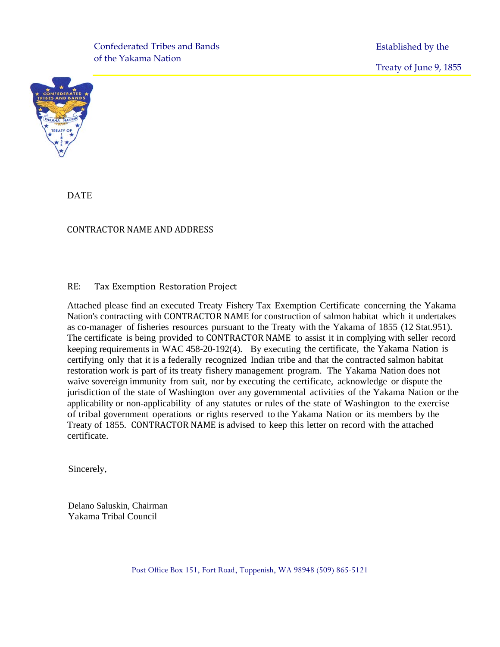of the Yakama Nation Confederated Tribes and Bands Established by the

Treaty of June 9, 1855



DATE

#### CONTRACTOR NAME AND ADDRESS

#### RE: Tax Exemption Restoration Project

Attached please find an executed Treaty Fishery Tax Exemption Certificate concerning the Yakama Nation's contracting with CONTRACTOR NAME for construction of salmon habitat which it undertakes as co-manager of fisheries resources pursuant to the Treaty with the Yakama of 1855 (12 Stat.951). The certificate is being provided to CONTRACTOR NAME to assist it in complying with seller record keeping requirements in WAC 458-20-192(4). By executing the certificate, the Yakama Nation is certifying only that it is a federally recognized Indian tribe and that the contracted salmon habitat restoration work is part of its treaty fishery management program. The Yakama Nation does not waive sovereign immunity from suit, nor by executing the certificate, acknowledge or dispute the jurisdiction of the state of Washington over any governmental activities of the Yakama Nation or the applicability or non-applicability of any statutes or rules of the state of Washington to the exercise of tribal government operations or rights reserved to the Yakama Nation or its members by the Treaty of 1855. CONTRACTOR NAME is advised to keep this letter on record with the attached certificate.

Sincerely,

Delano Saluskin, Chairman Yakama Tribal Council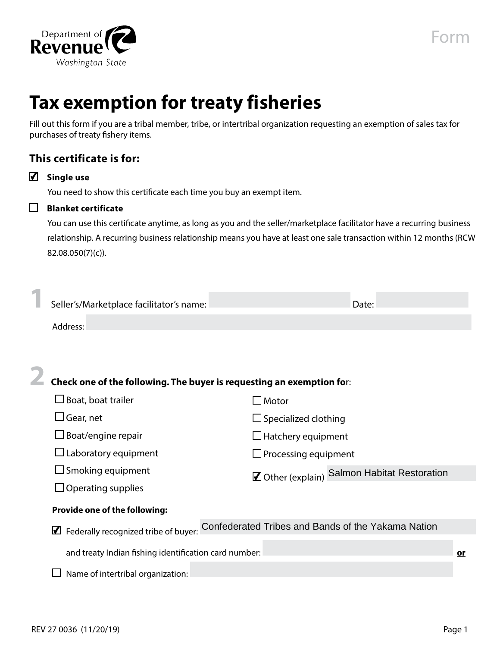

# **Tax exemption for treaty fisheries**

Fill out this form if you are a tribal member, tribe, or intertribal organization requesting an exemption of sales tax for purchases of treaty fishery items.

## **This certificate is for:**

| ✔ |  |  | Single use |
|---|--|--|------------|
|---|--|--|------------|

You need to show this certificate each time you buy an exempt item.

# **Blanket certificate**

You can use this certificate anytime, as long as you and the seller/marketplace facilitator have a recurring business relationship. A recurring business relationship means you have at least one sale transaction within 12 months (RCW 82.08.050(7)(c)).

| Seller's/Marketplace facilitator's name:                              |                                                    | Date: |  |  |
|-----------------------------------------------------------------------|----------------------------------------------------|-------|--|--|
| Address:                                                              |                                                    |       |  |  |
|                                                                       |                                                    |       |  |  |
| Check one of the following. The buyer is requesting an exemption for: |                                                    |       |  |  |
| $\square$ Boat, boat trailer                                          | $\Box$ Motor                                       |       |  |  |
| $\Box$ Gear, net                                                      | $\Box$ Specialized clothing                        |       |  |  |
| □ Boat/engine repair                                                  | $\Box$ Hatchery equipment                          |       |  |  |
| $\Box$ Laboratory equipment<br>$\Box$ Processing equipment            |                                                    |       |  |  |
| $\Box$ Smoking equipment                                              | ☑ Other (explain) Salmon Habitat Restoration       |       |  |  |
| $\Box$ Operating supplies                                             |                                                    |       |  |  |
| Provide one of the following:                                         |                                                    |       |  |  |
| Federally recognized tribe of buyer:<br>M                             | Confederated Tribes and Bands of the Yakama Nation |       |  |  |
| and treaty Indian fishing identification card number:<br>or           |                                                    |       |  |  |
| Name of intertribal organization:                                     |                                                    |       |  |  |